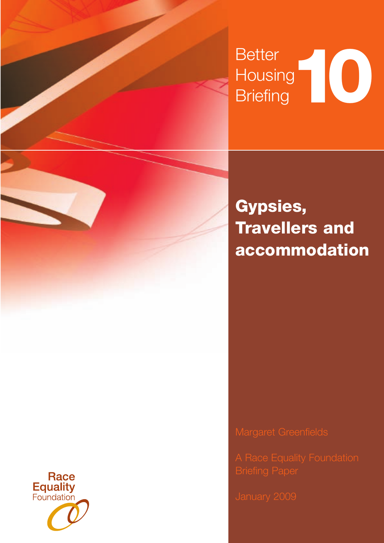# Better **Housing** Better<br>Housing<br>Briefing

**Gypsies, Travellers and accommodation** 

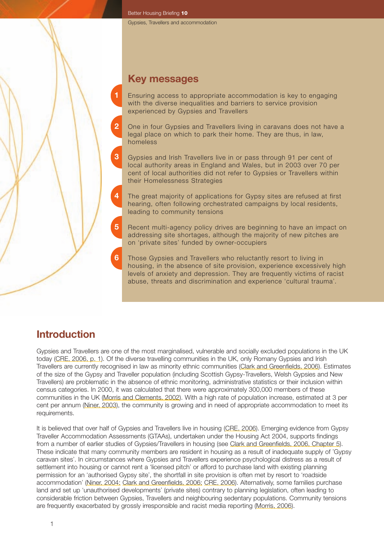Better Housing Briefing **10**

## **Key messages**

**1**

**3**

**4**

**5**

**6**

- Ensuring access to appropriate accommodation is key to engaging with the diverse inequalities and barriers to service provision experienced by Gypsies and Travellers
- **2** One in four Gypsies and Travellers living in caravans does not have a legal place on which to park their home. They are thus, in law, homeless
	- Gypsies and Irish Travellers live in or pass through 91 per cent of local authority areas in England and Wales, but in 2003 over 70 per cent of local authorities did not refer to Gypsies or Travellers within their Homelessness Strategies
	- The great majority of applications for Gypsy sites are refused at first hearing, often following orchestrated campaigns by local residents, leading to community tensions
	- Recent multi-agency policy drives are beginning to have an impact on addressing site shortages, although the majority of new pitches are on 'private sites' funded by owner-occupiers
	- Those Gypsies and Travellers who reluctantly resort to living in housing, in the absence of site provision, experience excessively high levels of anxiety and depression. They are frequently victims of racist abuse, threats and discrimination and experience 'cultural trauma'.

## **Introduction**

Gypsies and Travellers are one of the most marginalised, vulnerable and socially excluded populations in the UK today (CRE, 2006, p. 1). Of the diverse travelling communities in the UK, only Romany Gypsies and Irish Travellers are currently recognised in law as minority ethnic communities (Clark and Greenfields, 2006). Estimates of the size of the Gypsy and Traveller population (including Scottish Gypsy-Travellers, Welsh Gypsies and New Travellers) are problematic in the absence of ethnic monitoring, administrative statistics or their inclusion within census categories. In 2000, it was calculated that there were approximately 300,000 members of these communities in the UK (Morris and Clements, 2002). With a high rate of population increase, estimated at 3 per cent per annum (Niner, 2003), the community is growing and in need of appropriate accommodation to meet its requirements.

It is believed that over half of Gypsies and Travellers live in housing (CRE, 2006). Emerging evidence from Gypsy Traveller Accommodation Assessments (GTAAs), undertaken under the Housing Act 2004, supports findings from a number of earlier studies of Gypsies/Travellers in housing (see Clark and Greenfields, 2006, Chapter 5). These indicate that many community members are resident in housing as a result of inadequate supply of 'Gypsy caravan sites'. In circumstances where Gypsies and Travellers experience psychological distress as a result of settlement into housing or cannot rent a 'licensed pitch' or afford to purchase land with existing planning permission for an 'authorised Gypsy site', the shortfall in site provision is often met by resort to 'roadside accommodation' (Niner, 2004; Clark and Greenfields, 2006; CRE, 2006). Alternatively, some families purchase land and set up 'unauthorised developments' (private sites) contrary to planning legislation, often leading to considerable friction between Gypsies, Travellers and neighbouring sedentary populations. Community tensions are frequently exacerbated by grossly irresponsible and racist media reporting (Morris, 2006).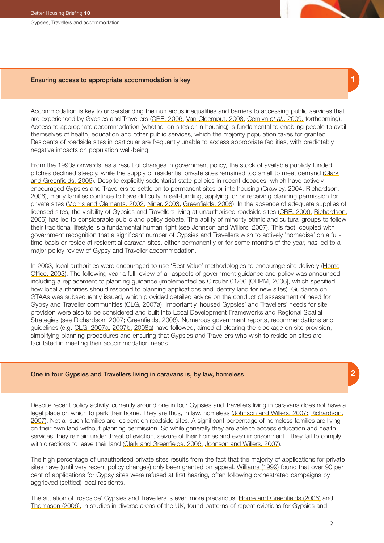## Ensuring access to appropriate accommodation is key

Accommodation is key to understanding the numerous inequalities and barriers to accessing public services that are experienced by Gypsies and Travellers (CRE, 2006; Van Cleemput, 2008; Cemlyn *et al*., 2009, forthcoming). Access to appropriate accommodation (whether on sites or in housing) is fundamental to enabling people to avail themselves of health, education and other public services, which the majority population takes for granted. Residents of roadside sites in particular are frequently unable to access appropriate facilities, with predictably negative impacts on population well-being.

From the 1990s onwards, as a result of changes in government policy, the stock of available publicly funded pitches declined steeply, while the supply of residential private sites remained too small to meet demand (Clark and Greenfields, 2006). Despite explicitly sedentarist state policies in recent decades, which have actively encouraged Gypsies and Travellers to settle on to permanent sites or into housing (Crawley, 2004; Richardson, 2006), many families continue to have difficulty in self-funding, applying for or receiving planning permission for private sites (Morris and Clements, 2002; Niner, 2003; Greenfields, 2008). In the absence of adequate supplies of licensed sites, the visibility of Gypsies and Travellers living at unauthorised roadside sites (CRE, 2006; Richardson, 2006) has led to considerable public and policy debate. The ability of minority ethnic and cultural groups to follow their traditional lifestyle is a fundamental human right (see Johnson and Willers, 2007). This fact, coupled with government recognition that a significant number of Gypsies and Travellers wish to actively 'nomadise' on a fulltime basis or reside at residential caravan sites, either permanently or for some months of the year, has led to a major policy review of Gypsy and Traveller accommodation.

In 2003, local authorities were encouraged to use 'Best Value' methodologies to encourage site delivery (Home Office, 2003). The following year a full review of all aspects of government guidance and policy was announced, including a replacement to planning guidance (implemented as Circular 01/06 [ODPM, 2006], which specified how local authorities should respond to planning applications and identify land for new sites). Guidance on GTAAs was subsequently issued, which provided detailed advice on the conduct of assessment of need for Gypsy and Traveller communities (CLG, 2007a). Importantly, housed Gypsies' and Travellers' needs for site provision were also to be considered and built into Local Development Frameworks and Regional Spatial Strategies (see Richardson, 2007; Greenfields, 2008). Numerous government reports, recommendations and guidelines (e.g. CLG, 2007a, 2007b, 2008a) have followed, aimed at clearing the blockage on site provision, simplifying planning procedures and ensuring that Gypsies and Travellers who wish to reside on sites are facilitated in meeting their accommodation needs.

## One in four Gypsies and Travellers living in caravans is, by law, homeless

Despite recent policy activity, currently around one in four Gypsies and Travellers living in caravans does not have a legal place on which to park their home. They are thus, in law, homeless (Johnson and Willers, 2007; Richardson, 2007). Not all such families are resident on roadside sites. A significant percentage of homeless families are living on their own land without planning permission. So while generally they are able to access education and health services, they remain under threat of eviction, seizure of their homes and even imprisonment if they fail to comply with directions to leave their land (Clark and Greenfields, 2006; Johnson and Willers, 2007).

The high percentage of unauthorised private sites results from the fact that the majority of applications for private sites have (until very recent policy changes) only been granted on appeal. Williams (1999) found that over 90 per cent of applications for Gypsy sites were refused at first hearing, often following orchestrated campaigns by aggrieved (settled) local residents.

The situation of 'roadside' Gypsies and Travellers is even more precarious. Home and Greenfields (2006) and Thomason (2006), in studies in diverse areas of the UK, found patterns of repeat evictions for Gypsies and

### Better Housing Briefing **10**

Gypsies, Travellers and accommodation

**1**

# **2**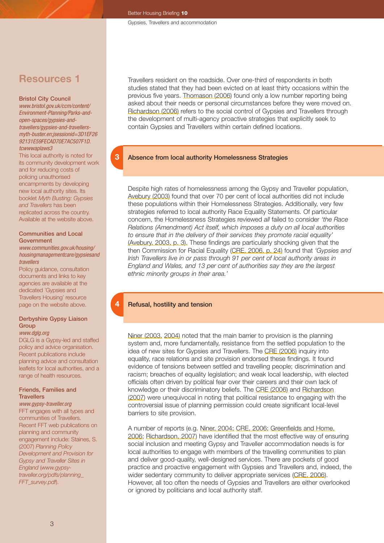# **Resources 1**

#### Bristol City Council

*[www.bristol.gov.uk/ccm/content/](http://www.bristol.gov.uk/ccm/content/Environment-Planning/Parks-and-open-spaces/gypsies-and-travellers/gypsies-and-travellers-myth-buster.en;jsessionid=3D1EF2692131E59FECAD70E7AC507F1D.tcwwwaplaws3) [Environment-Planning/Parks-and](http://www.bristol.gov.uk/ccm/content/Environment-Planning/Parks-and-open-spaces/gypsies-and-travellers/gypsies-and-travellers-myth-buster.en;jsessionid=3D1EF2692131E59FECAD70E7AC507F1D.tcwwwaplaws3)[open-spaces/gypsies-and](http://www.bristol.gov.uk/ccm/content/Environment-Planning/Parks-and-open-spaces/gypsies-and-travellers/gypsies-and-travellers-myth-buster.en;jsessionid=3D1EF2692131E59FECAD70E7AC507F1D.tcwwwaplaws3)[travellers/gypsies-and-travellers](http://www.bristol.gov.uk/ccm/content/Environment-Planning/Parks-and-open-spaces/gypsies-and-travellers/gypsies-and-travellers-myth-buster.en;jsessionid=3D1EF2692131E59FECAD70E7AC507F1D.tcwwwaplaws3)[myth-buster.en;jsessionid=3D1EF26](http://www.bristol.gov.uk/ccm/content/Environment-Planning/Parks-and-open-spaces/gypsies-and-travellers/gypsies-and-travellers-myth-buster.en;jsessionid=3D1EF2692131E59FECAD70E7AC507F1D.tcwwwaplaws3) [92131E59FECAD70E7AC507F1D.](http://www.bristol.gov.uk/ccm/content/Environment-Planning/Parks-and-open-spaces/gypsies-and-travellers/gypsies-and-travellers-myth-buster.en;jsessionid=3D1EF2692131E59FECAD70E7AC507F1D.tcwwwaplaws3) [tcwwwaplaws3](http://www.bristol.gov.uk/ccm/content/Environment-Planning/Parks-and-open-spaces/gypsies-and-travellers/gypsies-and-travellers-myth-buster.en;jsessionid=3D1EF2692131E59FECAD70E7AC507F1D.tcwwwaplaws3)*

This local authority is noted for its community development work and for reducing costs of policing unauthorised encampments by developing new local authority sites. Its booklet *Myth Busting: Gypsies and Travellers* has been replicated across the country. Available at the website above.

#### Communities and Local Government

#### *[www.communities.gov.uk/housing/](http://www.communities.gov.uk/housing/housingmanagementcare/gypsiesandtravellers) [housingmanagementcare/gypsiesand](http://www.communities.gov.uk/housing/housingmanagementcare/gypsiesandtravellers) [travellers](http://www.communities.gov.uk/housing/housingmanagementcare/gypsiesandtravellers)*

Policy guidance, consultation documents and links to key agencies are available at the dedicated 'Gypsies and Travellers Housing' resource page on the website above.

## Derbyshire Gypsy Liaison **Group**

#### *[www.dglg.org](http://www.dglg.org)*

DGLG is a Gypsy-led and staffed policy and advice organisation. Recent publications include planning advice and consultation leaflets for local authorities, and a range of health resources.

## Friends, Families and **Travellers**

*[www.gypsy-traveller.org](http://www.gypsy-traveller.org)* FFT engages with all types and communities of Travellers. Recent FFT web publications on planning and community engagement include: Staines, S. (2007) *Planning Policy Development and Provision for Gypsy and Traveller Sites in England* (*[www.gypsy](http://www.gypsy-traveller.org/pdfs/planning_FFT_survey.pdf)[traveller.org/pdfs/planning\\_](http://www.gypsy-traveller.org/pdfs/planning_FFT_survey.pdf) [FFT\\_survey.pdf](http://www.gypsy-traveller.org/pdfs/planning_FFT_survey.pdf)*).

Travellers resident on the roadside. Over one-third of respondents in both studies stated that they had been evicted on at least thirty occasions within the previous five years. Thomason (2006) found only a low number reporting being asked about their needs or personal circumstances before they were moved on. Richardson (2006) refers to the social control of Gypsies and Travellers through the development of multi-agency proactive strategies that explicitly seek to contain Gypsies and Travellers within certain defined locations.

## Absence from local authority Homelessness Strategies

Despite high rates of homelessness among the Gypsy and Traveller population, Avebury (2003) found that over 70 per cent of local authorities did not include these populations within their Homelessness Strategies. Additionally, very few strategies referred to local authority Race Equality Statements. Of particular concern, the Homelessness Strategies reviewed *all* failed to consider *'the Race Relations (Amendment) Act itself, which imposes a duty on all local authorities to ensure that in the delivery of their services they promote racial equality'* (Avebury, 2003, p. 3). These findings are particularly shocking given that the then Commission for Racial Equality (CRE, 2006, p. 24) found that *'Gypsies and Irish Travellers live in or pass through 91 per cent of local authority areas in England and Wales, and 13 per cent of authorities say they are the largest ethnic minority groups in their area.'*

## Refusal, hostility and tension

**4**

**3**

Niner (2003, 2004) noted that the main barrier to provision is the planning system and, more fundamentally, resistance from the settled population to the idea of new sites for Gypsies and Travellers. The CRE (2006) inquiry into equality, race relations and site provision endorsed these findings. It found evidence of tensions between settled and travelling people; discrimination and racism; breaches of equality legislation; and weak local leadership, with elected officials often driven by political fear over their careers and their own lack of knowledge or their discriminatory beliefs. The CRE (2006) and Richardson (2007) were unequivocal in noting that political resistance to engaging with the controversial issue of planning permission could create significant local-level barriers to site provision.

A number of reports (e.g. Niner, 2004; CRE, 2006; Greenfields and Home, 2006; Richardson, 2007) have identified that the most effective way of ensuring social inclusion and meeting Gypsy and Traveller accommodation needs is for local authorities to engage with members of the travelling communities to plan and deliver good-quality, well-designed services. There are pockets of good practice and proactive engagement with Gypsies and Travellers and, indeed, the wider sedentary community to deliver appropriate services (CRE, 2006). However, all too often the needs of Gypsies and Travellers are either overlooked or ignored by politicians and local authority staff.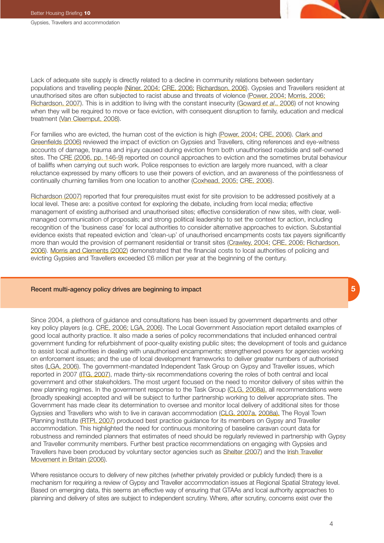

Lack of adequate site supply is directly related to a decline in community relations between sedentary populations and travelling people (Niner, 2004; CRE, 2006; Richardson, 2006). Gypsies and Travellers resident at unauthorised sites are often subjected to racist abuse and threats of violence (Power, 2004; Morris, 2006; Richardson, 2007). This is in addition to living with the constant insecurity (Goward *et al*., 2006) of not knowing when they will be required to move or face eviction, with consequent disruption to family, education and medical treatment (Van Cleemput, 2008).

For families who are evicted, the human cost of the eviction is high (Power, 2004; CRE, 2006). Clark and Greenfields (2006) reviewed the impact of eviction on Gypsies and Travellers, citing references and eye-witness accounts of damage, trauma and injury caused during eviction from both unauthorised roadside and self-owned sites. The CRE (2006, pp. 146-9) reported on council approaches to eviction and the sometimes brutal behaviour of bailiffs when carrying out such work. Police responses to eviction are largely more nuanced, with a clear reluctance expressed by many officers to use their powers of eviction, and an awareness of the pointlessness of continually churning families from one location to another (Coxhead, 2005; CRE, 2006).

Richardson (2007) reported that four prerequisites must exist for site provision to be addressed positively at a local level. These are: a positive context for exploring the debate, including from local media; effective management of existing authorised and unauthorised sites; effective consideration of new sites, with clear, wellmanaged communication of proposals; and strong political leadership to set the context for action, including recognition of the 'business case' for local authorities to consider alternative approaches to eviction. Substantial evidence exists that repeated eviction and 'clean-up' of unauthorised encampments costs tax payers significantly more than would the provision of permanent residential or transit sites (Crawley, 2004; CRE, 2006; Richardson, 2006). Morris and Clements (2002) demonstrated that the financial costs to local authorities of policing and evicting Gypsies and Travellers exceeded £6 million per year at the beginning of the century.

## Recent multi-agency policy drives are beginning to impact

Since 2004, a plethora of guidance and consultations has been issued by government departments and other key policy players (e.g. CRE, 2006; LGA, 2006). The Local Government Association report detailed examples of good local authority practice. It also made a series of policy recommendations that included enhanced central government funding for refurbishment of poor-quality existing public sites; the development of tools and guidance to assist local authorities in dealing with unauthorised encampments; strengthened powers for agencies working on enforcement issues; and the use of local development frameworks to deliver greater numbers of authorised sites (LGA, 2006). The government-mandated Independent Task Group on Gypsy and Traveller issues, which reported in 2007 (ITG, 2007), made thirty-six recommendations covering the roles of both central and local government and other stakeholders. The most urgent focused on the need to monitor delivery of sites within the new planning regimes. In the government response to the Task Group (CLG, 2008a), all recommendations were (broadly speaking) accepted and will be subject to further partnership working to deliver appropriate sites. The Government has made clear its determination to oversee and monitor local delivery of additional sites for those Gypsies and Travellers who wish to live in caravan accommodation (CLG, 2007a, 2008a). The Royal Town Planning Institute (RTPI, 2007) produced best practice guidance for its members on Gypsy and Traveller accommodation. This highlighted the need for continuous monitoring of baseline caravan count data for robustness and reminded planners that estimates of need should be regularly reviewed in partnership with Gypsy and Traveller community members. Further best practice recommendations on engaging with Gypsies and Travellers have been produced by voluntary sector agencies such as Shelter (2007) and the Irish Traveller Movement in Britain (2006).

Where resistance occurs to delivery of new pitches (whether privately provided or publicly funded) there is a mechanism for requiring a review of Gypsy and Traveller accommodation issues at Regional Spatial Strategy level. Based on emerging data, this seems an effective way of ensuring that GTAAs and local authority approaches to planning and delivery of sites are subject to independent scrutiny. Where, after scrutiny, concerns exist over the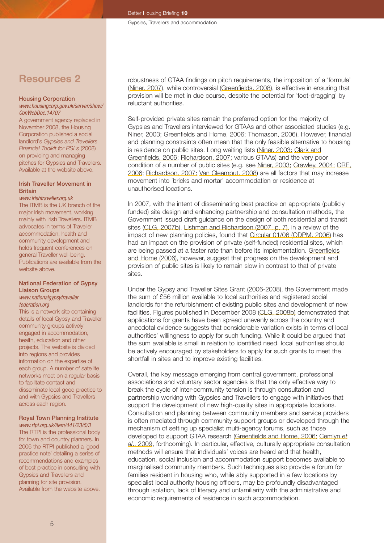# **Resources 2**

#### Housing Corporation

#### *[www.housingcorp.gov.uk/server/show/](http://www.housingcorp.gov.uk/server/show/ConWebDoc.14707) [ConWebDoc.14707](http://www.housingcorp.gov.uk/server/show/ConWebDoc.14707)*

A government agency replaced in November 2008, the Housing Corporation published a social landlord's *Gypsies and Travellers Financial Toolkit for RSLs* (2008) on providing and managing pitches for Gypsies and Travellers. Available at the website above.

#### Irish Traveller Movement in Britain

#### *[www.irishtraveller.org.uk](http://www.irishtraveller.org.uk)*

The ITMB is the UK branch of the major Irish movement, working mainly with Irish Travellers. ITMB advocates in terms of Traveller accommodation, health and community development and holds frequent conferences on general Traveller well-being. Publications are available from the website above.

#### National Federation of Gypsy Liaison Groups *[www.nationalgypsytraveller](http://www.nationalgypsytravellerfederation.org) [federation.org](http://www.nationalgypsytravellerfederation.org)*

This is a network site containing details of local Gypsy and Traveller community groups actively engaged in accommodation, health, education and other projects. The website is divided into regions and provides information on the expertise of each group. A number of satellite networks meet on a regular basis to facilitate contact and disseminate local good practice to and with Gypsies and Travellers across each region.

## Royal Town Planning Institute

*[www.rtpi.org.uk/item/441/23/5/3](http://www.rtpi.org.uk/item/441/23/5/3)* The RTPI is the professional body for town and country planners. In 2006 the RTPI published a 'good practice note' detailing a series of recommendations and examples of best practice in consulting with Gypsies and Travellers and planning for site provision. Available from the website above.

robustness of GTAA findings on pitch requirements, the imposition of a 'formula' (Niner, 2007), while controversial (Greenfields, 2008), is effective in ensuring that provision will be met in due course, despite the potential for 'foot-dragging' by reluctant authorities.

Self-provided private sites remain the preferred option for the majority of Gypsies and Travellers interviewed for GTAAs and other associated studies (e.g. Niner, 2003; Greenfields and Home, 2006; Thomason, 2006). However, financial and planning constraints often mean that the only feasible alternative to housing is residence on public sites. Long waiting lists (Niner, 2003; Clark and Greenfields, 2006; Richardson, 2007; various GTAAs) and the very poor condition of a number of public sites (e.g. see Niner, 2003; Crawley, 2004; CRE, 2006; Richardson, 2007; Van Cleemput, 2008) are all factors that may increase movement into 'bricks and mortar' accommodation or residence at unauthorised locations.

In 2007, with the intent of disseminating best practice on appropriate (publicly funded) site design and enhancing partnership and consultation methods, the Government issued draft guidance on the design of both residential and transit sites (CLG, 2007b). Lishman and Richardson (2007, p. 7), in a review of the impact of new planning policies, found that Circular 01/06 (ODPM, 2006) has had an impact on the provision of private (self-funded) residential sites, which are being passed at a faster rate than before its implementation. Greenfields and Home (2006), however, suggest that progress on the development and provision of public sites is likely to remain slow in contrast to that of private sites.

Under the Gypsy and Traveller Sites Grant (2006-2008), the Government made the sum of £56 million available to local authorities and registered social landlords for the refurbishment of existing public sites and development of new facilities. Figures published in December 2008 (CLG, 2008b) demonstrated that applications for grants have been spread unevenly across the country and anecdotal evidence suggests that considerable variation exists in terms of local authorities' willingness to apply for such funding. While it could be argued that the sum available is small in relation to identified need, local authorities should be actively encouraged by stakeholders to apply for such grants to meet the shortfall in sites and to improve existing facilities.

Overall, the key message emerging from central government, professional associations and voluntary sector agencies is that the only effective way to break the cycle of inter-community tension is through consultation and partnership working with Gypsies and Travellers to engage with initiatives that support the development of new high-quality sites in appropriate locations. Consultation and planning between community members and service providers is often mediated through community support groups or developed through the mechanism of setting up specialist multi-agency forums, such as those developed to support GTAA research (Greenfields and Home, 2006; Cemlyn *et al*., 2009, forthcoming). In particular, effective, culturally appropriate consultation methods will ensure that individuals' voices are heard and that health, education, social inclusion and accommodation support becomes available to marginalised community members. Such techniques also provide a forum for families resident in housing who, while ably supported in a few locations by specialist local authority housing officers, may be profoundly disadvantaged through isolation, lack of literacy and unfamiliarity with the administrative and economic requirements of residence in such accommodation.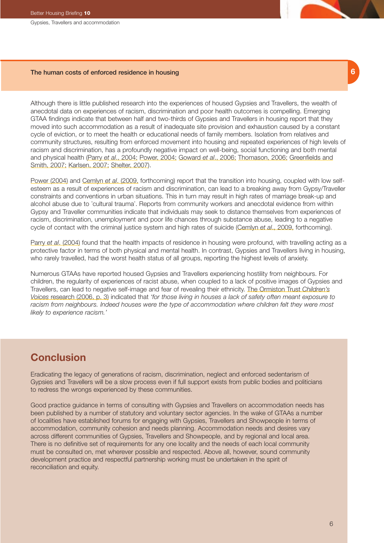Gypsies, Travellers and accommodation

## The human costs of enforced residence in housing **6**

Although there is little published research into the experiences of housed Gypsies and Travellers, the wealth of anecdotal data on experiences of racism, discrimination and poor health outcomes is compelling. Emerging GTAA findings indicate that between half and two-thirds of Gypsies and Travellers in housing report that they moved into such accommodation as a result of inadequate site provision and exhaustion caused by a constant cycle of eviction, or to meet the health or educational needs of family members. Isolation from relatives and community structures, resulting from enforced movement into housing and repeated experiences of high levels of racism and discrimination, has a profoundly negative impact on well-being, social functioning and both mental and physical health (Parry *et al*., 2004; Power, 2004; Goward *et al*., 2006; Thomason, 2006; Greenfields and Smith, 2007; Karlsen, 2007; Shelter, 2007).

Power (2004) and Cemlyn *et al*. (2009, forthcoming) report that the transition into housing, coupled with low selfesteem as a result of experiences of racism and discrimination, can lead to a breaking away from Gypsy/Traveller constraints and conventions in urban situations. This in turn may result in high rates of marriage break-up and alcohol abuse due to 'cultural trauma'. Reports from community workers and anecdotal evidence from within Gypsy and Traveller communities indicate that individuals may seek to distance themselves from experiences of racism, discrimination, unemployment and poor life chances through substance abuse, leading to a negative cycle of contact with the criminal justice system and high rates of suicide (Cemlyn *et al*., 2009, forthcoming).

Parry *et al*. (2004) found that the health impacts of residence in housing were profound, with travelling acting as a protective factor in terms of both physical and mental health. In contrast, Gypsies and Travellers living in housing, who rarely travelled, had the worst health status of all groups, reporting the highest levels of anxiety.

Numerous GTAAs have reported housed Gypsies and Travellers experiencing hostility from neighbours. For children, the regularity of experiences of racist abuse, when coupled to a lack of positive images of Gypsies and Travellers, can lead to negative self-image and fear of revealing their ethnicity. The Ormiston Trust *Children's Voices* research (2006, p. 3) indicated that *'for those living in houses a lack of safety often meant exposure to racism from neighbours. Indeed houses were the type of accommodation where children felt they were most likely to experience racism.'*

# **Conclusion**

Eradicating the legacy of generations of racism, discrimination, neglect and enforced sedentarism of Gypsies and Travellers will be a slow process even if full support exists from public bodies and politicians to redress the wrongs experienced by these communities.

Good practice guidance in terms of consulting with Gypsies and Travellers on accommodation needs has been published by a number of statutory and voluntary sector agencies. In the wake of GTAAs a number of localities have established forums for engaging with Gypsies, Travellers and Showpeople in terms of accommodation, community cohesion and needs planning. Accommodation needs and desires vary across different communities of Gypsies, Travellers and Showpeople, and by regional and local area. There is no definitive set of requirements for any one locality and the needs of each local community must be consulted on, met wherever possible and respected. Above all, however, sound community development practice and respectful partnership working must be undertaken in the spirit of reconciliation and equity.